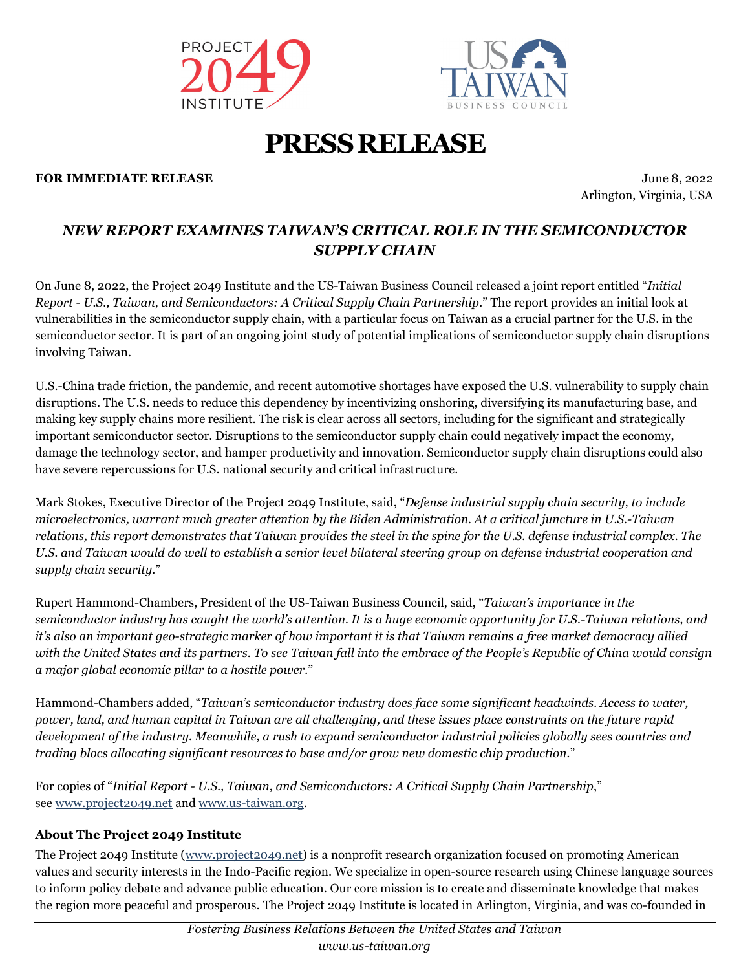



## **PRESSRELEASE**

#### **FOR IMMEDIATE RELEASE SUITE 3.2022** June 8, 2022

Arlington, Virginia, USA

### *NEW REPORT EXAMINES TAIWAN'S CRITICAL ROLE IN THE SEMICONDUCTOR SUPPLY CHAIN*

On June 8, 2022, the Project 2049 Institute and the US-Taiwan Business Council released a joint report entitled "*Initial Report - U.S., Taiwan, and Semiconductors: A Critical Supply Chain Partnership.*" The report provides an initial look at vulnerabilities in the semiconductor supply chain, with a particular focus on Taiwan as a crucial partner for the U.S. in the semiconductor sector. It is part of an ongoing joint study of potential implications of semiconductor supply chain disruptions involving Taiwan.

U.S.-China trade friction, the pandemic, and recent automotive shortages have exposed the U.S. vulnerability to supply chain disruptions. The U.S. needs to reduce this dependency by incentivizing onshoring, diversifying its manufacturing base, and making key supply chains more resilient. The risk is clear across all sectors, including for the significant and strategically important semiconductor sector. Disruptions to the semiconductor supply chain could negatively impact the economy, damage the technology sector, and hamper productivity and innovation. Semiconductor supply chain disruptions could also have severe repercussions for U.S. national security and critical infrastructure.

Mark Stokes, Executive Director of the Project 2049 Institute, said, "*Defense industrial supply chain security, to include microelectronics, warrant much greater attention by the Biden Administration. At a critical juncture in U.S.-Taiwan relations, this report demonstrates that Taiwan provides the steel in the spine for the U.S. defense industrial complex. The U.S. and Taiwan would do well to establish a senior level bilateral steering group on defense industrial cooperation and supply chain security.*"

Rupert Hammond-Chambers, President of the US-Taiwan Business Council, said, "*Taiwan's importance in the semiconductor industry has caught the world's attention. It is a huge economic opportunity for U.S.-Taiwan relations, and it's also an important geo-strategic marker of how important it is that Taiwan remains a free market democracy allied with the United States and its partners. To see Taiwan fall into the embrace of the People's Republic of China would consign a major global economic pillar to a hostile power.*"

Hammond-Chambers added, "*Taiwan's semiconductor industry does face some significant headwinds. Access to water, power, land, and human capital in Taiwan are all challenging, and these issues place constraints on the future rapid development of the industry. Meanwhile, a rush to expand semiconductor industrial policies globally sees countries and trading blocs allocating significant resources to base and/or grow new domestic chip production.*"

For copies of "*Initial Report - U.S., Taiwan, and Semiconductors: A Critical Supply Chain Partnership*," see [www.project2049.net](http://www.project2049.net/) and [www.us-taiwan.org.](http://www.us-taiwan.org/)

#### **About The Project 2049 Institute**

The Project 2049 Institute [\(www.project2049.net\)](http://www.project2049.net/) is a nonprofit research organization focused on promoting American values and security interests in the Indo-Pacific region. We specialize in open-source research using Chinese language sources to inform policy debate and advance public education. Our core mission is to create and disseminate knowledge that makes the region more peaceful and prosperous. The Project 2049 Institute is located in Arlington, Virginia, and was co-founded in